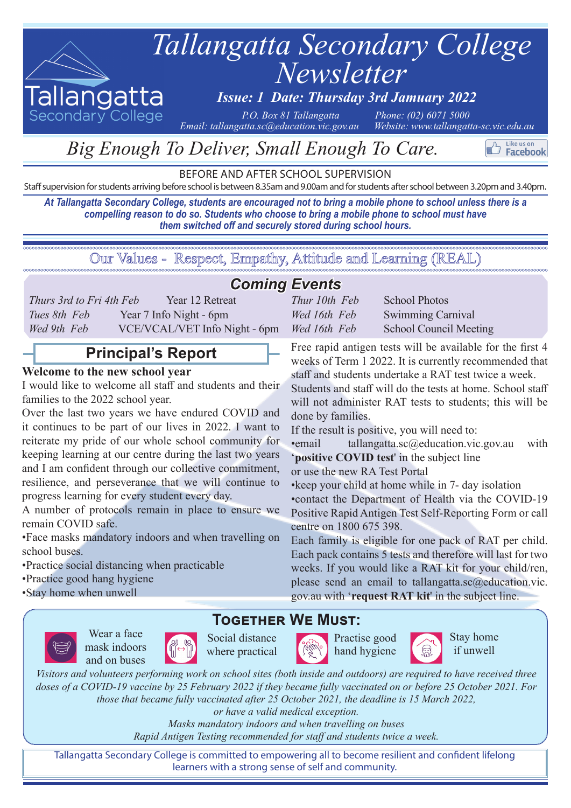

Secondary College

# *Newsletter Tallangatta Secondary College*

# *Issue: 1 Date: Thursday 3rd Jamuary 2022*

*<i>Email: tallangatta.sc@education.vic.gov.au* 

*P.O. Box 81 Tallangatta Phone: (02) 6071 5000*<br>atta.sc@education.vic.gov.au *Website: www.tallangatta-sc.vic.edu.au* 

Like us on Facebook

# *Big Enough To Deliver, Small Enough To Care.*

BEFORE AND AFTER SCHOOL SUPERVISION

Staff supervision for students arriving before school is between 8.35am and 9.00am and for students after school between 3.20pm and 3.40pm.

*At Tallangatta Secondary College, students are encouraged not to bring a mobile phone to school unless there is a compelling reason to do so. Students who choose to bring a mobile phone to school must have them switched off and securely stored during school hours.*

Our Values - Respect, Empathy, Attitude and Learning (REAL)

# *Coming Events*

| Thurs 3rd to Fri 4th Feb | Year 12 Retreat               |
|--------------------------|-------------------------------|
| Tues 8th Feb             | Year 7 Info Night - 6pm       |
| Wed 9th Feb              | VCE/VCAL/VET Info Night - 6pm |

# **Principal's Report**

## **Welcome to the new school year**

I would like to welcome all staff and students and their families to the 2022 school year.

Over the last two years we have endured COVID and it continues to be part of our lives in 2022. I want to reiterate my pride of our whole school community for keeping learning at our centre during the last two years and I am confident through our collective commitment, resilience, and perseverance that we will continue to progress learning for every student every day.

A number of protocols remain in place to ensure we remain COVID safe.

•Face masks mandatory indoors and when travelling on school buses.

•Practice social distancing when practicable

•Practice good hang hygiene

•Stay home when unwell

Wear a face mask indoors and on buses



Social distance where practical



Practise good hand hygiene Stay home if unwell

*Visitors and volunteers performing work on school sites (both inside and outdoors) are required to have received three doses of a COVID-19 vaccine by 25 February 2022 if they became fully vaccinated on or before 25 October 2021. For those that became fully vaccinated after 25 October 2021, the deadline is 15 March 2022,* 

**Together We Must:**

*or have a valid medical exception.* 

*Masks mandatory indoors and when travelling on buses Rapid Antigen Testing recommended for staff and students twice a week.*

Tallangatta Secondary College is committed to empowering all to become resilient and confident lifelong learners with a strong sense of self and community.

| Thur 10th Feb | <b>School Photos</b>   |
|---------------|------------------------|
| Wed 16th Feb  | Swimming Carnival      |
| Wed 16th Feb  | School Council Meeting |

Free rapid antigen tests will be available for the first 4 weeks of Term 1 2022. It is currently recommended that staff and students undertake a RAT test twice a week.

Students and staff will do the tests at home. School staff will not administer RAT tests to students; this will be done by families.

If the result is positive, you will need to:

•email tallangatta.sc@education.vic.gov.au with '**positive COVID test**' in the subject line

or use the new RA Test Portal

•keep your child at home while in 7- day isolation

•contact the Department of Health via the COVID-19 Positive Rapid Antigen Test Self-Reporting Form or call centre on 1800 675 398.

Each family is eligible for one pack of RAT per child. Each pack contains 5 tests and therefore will last for two weeks. If you would like a RAT kit for your child/ren, please send an email to tallangatta.sc@education.vic. gov.au with '**request RAT kit**' in the subject line.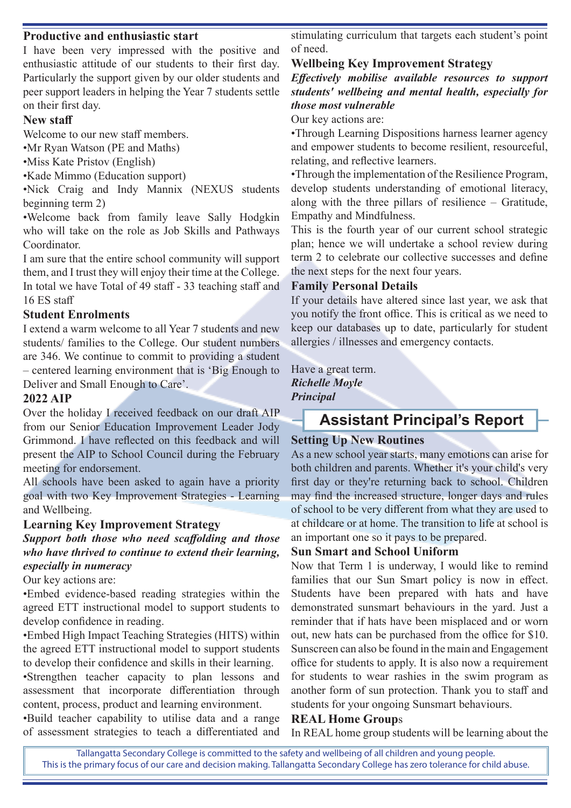### **Productive and enthusiastic start**

I have been very impressed with the positive and enthusiastic attitude of our students to their first day. Particularly the support given by our older students and peer support leaders in helping the Year 7 students settle on their first day.

#### **New staff**

Welcome to our new staff members.

•Mr Ryan Watson (PE and Maths)

•Miss Kate Pristov (English)

•Kade Mimmo (Education support)

•Nick Craig and Indy Mannix (NEXUS students beginning term 2)

•Welcome back from family leave Sally Hodgkin who will take on the role as Job Skills and Pathways Coordinator.

I am sure that the entire school community will support them, and I trust they will enjoy their time at the College. In total we have Total of 49 staff - 33 teaching staff and 16 ES staff

#### **Student Enrolments**

I extend a warm welcome to all Year 7 students and new students/ families to the College. Our student numbers are 346. We continue to commit to providing a student – centered learning environment that is 'Big Enough to Deliver and Small Enough to Care'.

#### **2022 AIP**

Over the holiday I received feedback on our draft AIP from our Senior Education Improvement Leader Jody Grimmond. I have reflected on this feedback and will present the AIP to School Council during the February meeting for endorsement.

All schools have been asked to again have a priority goal with two Key Improvement Strategies - Learning and Wellbeing.

#### **Learning Key Improvement Strategy**

*Support both those who need scaffolding and those who have thrived to continue to extend their learning, especially in numeracy*

Our key actions are:

•Embed evidence-based reading strategies within the agreed ETT instructional model to support students to develop confidence in reading.

•Embed High Impact Teaching Strategies (HITS) within the agreed ETT instructional model to support students to develop their confidence and skills in their learning.

•Strengthen teacher capacity to plan lessons and assessment that incorporate differentiation through content, process, product and learning environment.

•Build teacher capability to utilise data and a range of assessment strategies to teach a differentiated and stimulating curriculum that targets each student's point of need.

#### **Wellbeing Key Improvement Strategy**

*Effectively mobilise available resources to support students' wellbeing and mental health, especially for those most vulnerable*

Our key actions are:

•Through Learning Dispositions harness learner agency and empower students to become resilient, resourceful, relating, and reflective learners.

•Through the implementation of the Resilience Program, develop students understanding of emotional literacy, along with the three pillars of resilience – Gratitude, Empathy and Mindfulness.

This is the fourth year of our current school strategic plan; hence we will undertake a school review during term 2 to celebrate our collective successes and define the next steps for the next four years.

#### **Family Personal Details**

If your details have altered since last year, we ask that you notify the front office. This is critical as we need to keep our databases up to date, particularly for student allergies / illnesses and emergency contacts.

Have a great term. *Richelle Moyle Principal*

# **Assistant Principal's Report**

#### **Setting Up New Routines**

As a new school year starts, many emotions can arise for both children and parents. Whether it's your child's very first day or they're returning back to school. Children may find the increased structure, longer days and rules of school to be very different from what they are used to at childcare or at home. The transition to life at school is an important one so it pays to be prepared.

#### **Sun Smart and School Uniform**

Now that Term 1 is underway, I would like to remind families that our Sun Smart policy is now in effect. Students have been prepared with hats and have demonstrated sunsmart behaviours in the yard. Just a reminder that if hats have been misplaced and or worn out, new hats can be purchased from the office for \$10. Sunscreen can also be found in the main and Engagement office for students to apply. It is also now a requirement for students to wear rashies in the swim program as another form of sun protection. Thank you to staff and students for your ongoing Sunsmart behaviours.

#### **REAL Home Group**s

In REAL home group students will be learning about the

Tallangatta Secondary College is committed to the safety and wellbeing of all children and young people. This is the primary focus of our care and decision making. Tallangatta Secondary College has zero tolerance for child abuse.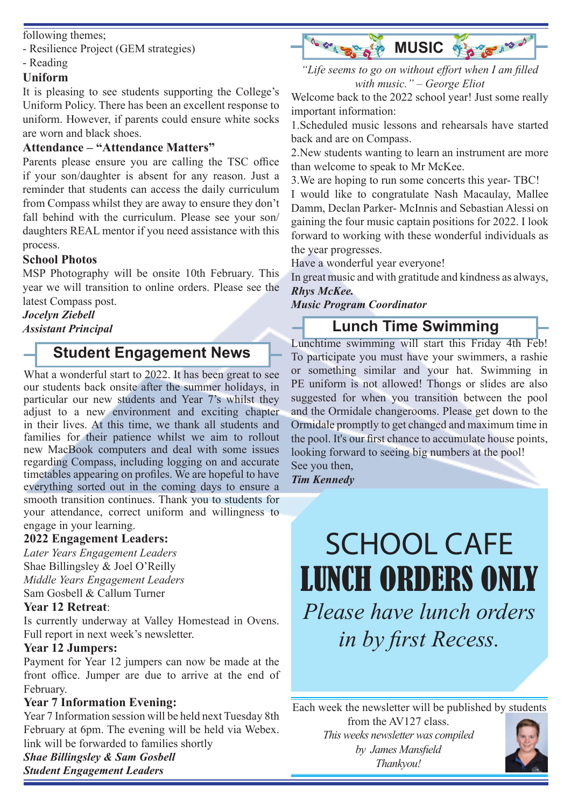following themes;

- Resilience Project (GEM strategies)

- Reading

## **Uniform**

It is pleasing to see students supporting the College's Uniform Policy. There has been an excellent response to uniform. However, if parents could ensure white socks are worn and black shoes.

## **Attendance – "Attendance Matters"**

Parents please ensure you are calling the TSC office if your son/daughter is absent for any reason. Just a reminder that students can access the daily curriculum from Compass whilst they are away to ensure they don't fall behind with the curriculum. Please see your son/ daughters REAL mentor if you need assistance with this process.

## **School Photos**

MSP Photography will be onsite 10th February. This year we will transition to online orders. Please see the latest Compass post.

## *Jocelyn Ziebell*

*Assistant Principal*

# **Student Engagement News**

What a wonderful start to 2022. It has been great to see our students back onsite after the summer holidays, in particular our new students and Year 7's whilst they adjust to a new environment and exciting chapter in their lives. At this time, we thank all students and families for their patience whilst we aim to rollout new MacBook computers and deal with some issues regarding Compass, including logging on and accurate timetables appearing on profiles. We are hopeful to have everything sorted out in the coming days to ensure a smooth transition continues. Thank you to students for your attendance, correct uniform and willingness to engage in your learning.

## **2022 Engagement Leaders:**

*Later Years Engagement Leaders*  Shae Billingsley & Joel O'Reilly *Middle Years Engagement Leaders* Sam Gosbell & Callum Turner

## **Year 12 Retreat**:

Is currently underway at Valley Homestead in Ovens. Full report in next week's newsletter.

## **Year 12 Jumpers:**

Payment for Year 12 jumpers can now be made at the front office. Jumper are due to arrive at the end of February.

## **Year 7 Information Evening:**

Year 7 Information session will be held next Tuesday 8th February at 6pm. The evening will be held via Webex. link will be forwarded to families shortly

## *Shae Billingsley & Sam Gosbell Student Engagement Leaders*



*"Life seems to go on without effort when I am filled with music." – George Eliot*

Welcome back to the 2022 school year! Just some really important information:

1.Scheduled music lessons and rehearsals have started back and are on Compass.

2.New students wanting to learn an instrument are more than welcome to speak to Mr McKee.

3.We are hoping to run some concerts this year- TBC! I would like to congratulate Nash Macaulay, Mallee Damm, Declan Parker- McInnis and Sebastian Alessi on gaining the four music captain positions for 2022. I look forward to working with these wonderful individuals as the year progresses.

Have a wonderful year everyone!

In great music and with gratitude and kindness as always, *Rhys McKee.*

*Music Program Coordinator*

# **Lunch Time Swimming**

Lunchtime swimming will start this Friday 4th Feb! To participate you must have your swimmers, a rashie or something similar and your hat. Swimming in PE uniform is not allowed! Thongs or slides are also suggested for when you transition between the pool and the Ormidale changerooms. Please get down to the Ormidale promptly to get changed and maximum time in the pool. It's our first chance to accumulate house points, looking forward to seeing big numbers at the pool! See you then,

*Tim Kennedy* 

# SCHOOL CAFE LUNCH ORDERS ONLY *Please have lunch orders in by first Recess.*

*This weeks newsletter was compiled* Each week the newsletter will be published by students from the AV127 class.

*by James Mansfield Thankyou!*